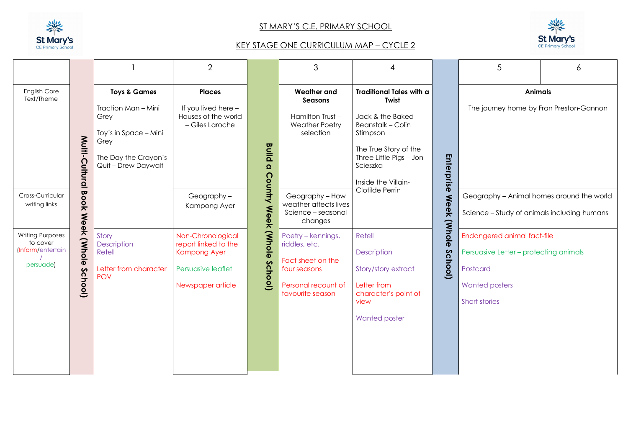

## ST MARY'S C.E. PRIMARY SCHOOL



## KEY STAGE ONE CURRICULUM MAP – CYCLE 2

|                                                                       |                                 |                                                                                                                                        | $\overline{2}$                                                                                              |                                                                           | 3                                                                                                                   |                                                                                                                                                                                                                  |                                                                                          | 5                                                                                                                           | 6 |  |
|-----------------------------------------------------------------------|---------------------------------|----------------------------------------------------------------------------------------------------------------------------------------|-------------------------------------------------------------------------------------------------------------|---------------------------------------------------------------------------|---------------------------------------------------------------------------------------------------------------------|------------------------------------------------------------------------------------------------------------------------------------------------------------------------------------------------------------------|------------------------------------------------------------------------------------------|-----------------------------------------------------------------------------------------------------------------------------|---|--|
| English Core<br>Text/Theme                                            | Multi-Cultural Book Week (Whole | <b>Toys &amp; Games</b><br>Traction Man - Mini<br>Grey<br>Toy's in Space - Mini<br>Grey<br>The Day the Crayon's<br>Quit - Drew Daywalt | <b>Places</b><br>If you lived here -<br>Houses of the world<br>- Giles Laroche                              | <b>Build</b><br>$\Omega$                                                  | <b>Weather and</b><br><b>Seasons</b><br>Hamilton Trust-<br><b>Weather Poetry</b><br>selection                       | <b>Traditional Tales with a</b><br><b>Twist</b><br>Jack & the Baked<br><b>Beanstalk - Colin</b><br>Stimpson<br>The True Story of the<br>Enterprise<br>Three Little Pigs - Jon<br>Scieszka<br>Inside the Villain- |                                                                                          | <b>Animals</b><br>The journey home by Fran Preston-Gannon                                                                   |   |  |
| Cross-Curricular<br>writing links                                     |                                 |                                                                                                                                        | <b>Country Week</b><br>Geography-<br>Kampong Ayer                                                           | Geography - How<br>weather affects lives<br>Science - seasonal<br>changes | Clotilde Perrin                                                                                                     | <b>Meek</b>                                                                                                                                                                                                      | Geography - Animal homes around the world<br>Science - Study of animals including humans |                                                                                                                             |   |  |
| <b>Writing Purposes</b><br>to cover<br>(Inform/entertain<br>persuade) | School)                         | Story<br><b>Description</b><br>Retell<br>Letter from character<br><b>POV</b>                                                           | Non-Chronological<br>report linked to the<br><b>Kampong Ayer</b><br>Persuasive leaflet<br>Newspaper article | : (Whole<br><b>School</b> )                                               | Poetry – kennings,<br>riddles, etc.<br>Fact sheet on the<br>four seasons<br>Personal recount of<br>favourite season | Retell<br>Description<br>Story/story extract<br>Letter from<br>character's point of<br>view<br><b>Wanted poster</b>                                                                                              | (Whole<br><b>School</b> )                                                                | Endangered animal fact-file<br>Persuasive Letter - protecting animals<br>Postcard<br><b>Wanted posters</b><br>Short stories |   |  |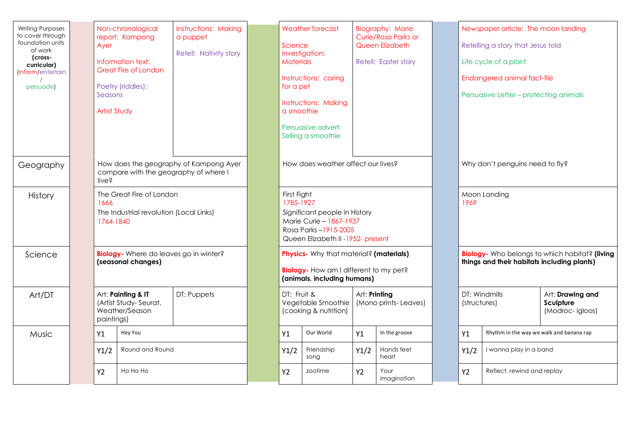| <b>Writing Purposes</b><br>to cover through<br>foundation units<br>of work<br>(cross-<br>curricular)<br>(Inform/entertain<br>persuade) |  | Ayer<br>Seasons<br><b>Artist Study</b>                                                     | Non-chronological<br>report: Kampong<br>Information text:<br><b>Great Fire of London</b><br>Poetry (riddles): | <b>Instructions: Making</b><br>a puppet<br>Retell: Nativity story |                                                                                                                                                   | Science<br><b>Materials</b><br>for a pet<br>a smoothie | <b>Weather forecast</b><br>investigation:<br>Instructions: caring<br><b>Instructions: Making</b><br>Persuasive advert:<br>Selling a smoothie |           | <b>Biography: Marie</b><br>Curie/Rosa Parks or<br>Queen Elizabeth<br>Retell: Easter story |                                                                                                       |           | Newspaper article: The moon landing<br>Retelling a story that Jesus told<br>Life cycle of a plant<br>Endangered animal fact-file<br>Persuasive Letter – protecting animals |  |
|----------------------------------------------------------------------------------------------------------------------------------------|--|--------------------------------------------------------------------------------------------|---------------------------------------------------------------------------------------------------------------|-------------------------------------------------------------------|---------------------------------------------------------------------------------------------------------------------------------------------------|--------------------------------------------------------|----------------------------------------------------------------------------------------------------------------------------------------------|-----------|-------------------------------------------------------------------------------------------|-------------------------------------------------------------------------------------------------------|-----------|----------------------------------------------------------------------------------------------------------------------------------------------------------------------------|--|
| Geography                                                                                                                              |  | How does the geography of Kampong Ayer<br>compare with the geography of where I<br>live?   |                                                                                                               |                                                                   | How does weather affect our lives?                                                                                                                |                                                        |                                                                                                                                              |           | Why don't penguins need to fly?                                                           |                                                                                                       |           |                                                                                                                                                                            |  |
| History                                                                                                                                |  | The Great Fire of London<br>1666<br>The Industrial revolution (Local Links)<br>1764-1840   |                                                                                                               |                                                                   | First Fight<br>1785-1927<br>Significant people in History<br>Marie Curie - 1867-1937<br>Rosa Parks-1915-2005<br>Queen Elizabeth II -1952- present |                                                        |                                                                                                                                              |           | Moon Landing<br>1969                                                                      |                                                                                                       |           |                                                                                                                                                                            |  |
| Science                                                                                                                                |  | <b>Biology</b> - Where do leaves go in winter?<br>(seasonal changes)                       |                                                                                                               |                                                                   | <b>Physics-</b> Why that material? (materials)<br><b>Biology-</b> How am I different to my pet?<br>(animals, including humans)                    |                                                        |                                                                                                                                              |           |                                                                                           | <b>Biology</b> - Who belongs to which habitat? (living<br>things and their habitats including plants) |           |                                                                                                                                                                            |  |
| Art/DT                                                                                                                                 |  | Art: Painting & IT<br>DT: Puppets<br>(Artist Study-Seurat.<br>Weather/Season<br>paintings) |                                                                                                               |                                                                   | DT: Fruit &<br>Vegetable Smoothie<br>(cooking & nutrition)                                                                                        |                                                        | Art: Printing<br>(Mono prints-Leaves)                                                                                                        |           |                                                                                           | DT: Windmills<br>(structures)                                                                         |           | Art: Drawing and<br>Sculpture<br>(Modroc-igloos)                                                                                                                           |  |
| Music                                                                                                                                  |  | Y1                                                                                         | Hey You<br>Round and Round                                                                                    |                                                                   |                                                                                                                                                   | Y1                                                     | Our World                                                                                                                                    | Y1        | In the groove                                                                             |                                                                                                       | Y1        | Rhythm in the way we walk and banana rap                                                                                                                                   |  |
|                                                                                                                                        |  | Y1/2                                                                                       |                                                                                                               |                                                                   |                                                                                                                                                   | Y1/2                                                   | Friendship<br>song                                                                                                                           | Y1/2      | Hands feet<br>heart                                                                       |                                                                                                       | Y1/2      | I wanna play in a band                                                                                                                                                     |  |
|                                                                                                                                        |  | <b>Y2</b>                                                                                  | Ho Ho Ho                                                                                                      |                                                                   |                                                                                                                                                   | Y2                                                     | zootime                                                                                                                                      | <b>Y2</b> | Your<br>imagination                                                                       |                                                                                                       | <b>Y2</b> | Reflect, rewind and replay                                                                                                                                                 |  |